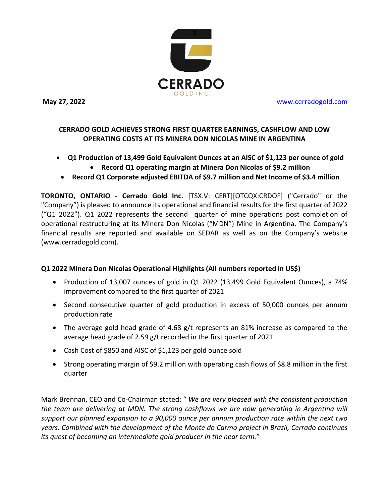

**May 27, 2022** [www.cerradogold.com](http://www.cerradogold.com/)

# **CERRADO GOLD ACHIEVES STRONG FIRST QUARTER EARNINGS, CASHFLOW AND LOW OPERATING COSTS AT ITS MINERA DON NICOLAS MINE IN ARGENTINA**

- **Q1 Production of 13,499 Gold Equivalent Ounces at an AISC of \$1,123 per ounce of gold**
	- **Record Q1 operating margin at Minera Don Nicolas of \$9.2 million**
	- **Record Q1 Corporate adjusted EBITDA of \$9.7 million and Net Income of \$3.4 million**

**TORONTO, ONTARIO - Cerrado Gold Inc.** [TSX.V: CERT][OTCQX:CRDOF] ("Cerrado" or the "Company") is pleased to announce its operational and financial results for the first quarter of 2022 ("Q1 2022"). Q1 2022 represents the second quarter of mine operations post completion of operational restructuring at its Minera Don Nicolas ("MDN") Mine in Argentina. The Company's financial results are reported and available on SEDAR as well as on the Company's website (www.cerradogold.com).

## **Q1 2022 Minera Don Nicolas Operational Highlights (All numbers reported in US\$)**

- Production of 13,007 ounces of gold in Q1 2022 (13,499 Gold Equivalent Ounces), a 74% improvement compared to the first quarter of 2021
- Second consecutive quarter of gold production in excess of 50,000 ounces per annum production rate
- The average gold head grade of 4.68 g/t represents an 81% increase as compared to the average head grade of 2.59 g/t recorded in the first quarter of 2021
- Cash Cost of \$850 and AISC of \$1,123 per gold ounce sold
- Strong operating margin of \$9.2 million with operating cash flows of \$8.8 million in the first quarter

Mark Brennan, CEO and Co-Chairman stated: " *We are very pleased with the consistent production the team are delivering at MDN. The strong cashflows we are now generating in Argentina will support our planned expansion to a 90,000 ounce per annum production rate within the next two years. Combined with the development of the Monte do Carmo project in Brazil, Cerrado continues its quest of becoming an intermediate gold producer in the near term.*"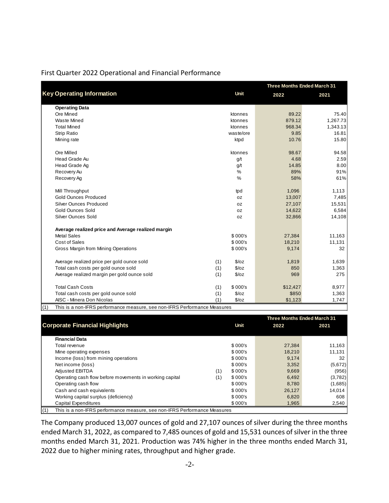|  | First Quarter 2022 Operational and Financial Performance |  |  |
|--|----------------------------------------------------------|--|--|
|  |                                                          |  |  |

|                                                                                  |     |             | <b>Three Months Ended March 31</b> |          |  |
|----------------------------------------------------------------------------------|-----|-------------|------------------------------------|----------|--|
| <b>Key Operating Information</b>                                                 |     | <b>Unit</b> | 2022                               | 2021     |  |
| <b>Operating Data</b>                                                            |     |             |                                    |          |  |
| Ore Mined                                                                        |     | ktonnes     | 89.22                              | 75.40    |  |
| <b>Waste Mined</b>                                                               |     | ktonnes     | 879.12                             | 1,267.73 |  |
| <b>Total Mined</b>                                                               |     | ktonnes     | 968.34                             | 1,343.13 |  |
| <b>Strip Ratio</b>                                                               |     | waste/ore   | 9.85                               | 16.81    |  |
| Mining rate                                                                      |     | ktpd        | 10.76                              | 15.80    |  |
| Ore Milled                                                                       |     | ktonnes     | 98.67                              | 94.58    |  |
| Head Grade Au                                                                    |     | g/t         | 4.68                               | 2.59     |  |
| Head Grade Ag                                                                    |     | g/t         | 14.85                              | 8.00     |  |
| Recovery Au                                                                      |     | %           | 89%                                | 91%      |  |
| Recovery Ag                                                                      |     | %           | 58%                                | 61%      |  |
| Mill Throughput                                                                  |     | tpd         | 1,096                              | 1,113    |  |
| <b>Gold Ounces Produced</b>                                                      |     | 0Z          | 13,007                             | 7,485    |  |
| Silver Ounces Produced                                                           |     | 0Z          | 27,107                             | 15,531   |  |
| <b>Gold Ounces Sold</b>                                                          |     | 0Z          | 14,622                             | 6,584    |  |
| Silver Ounces Sold                                                               |     | 0Z          | 32,866                             | 14,108   |  |
| Average realized price and Average realized margin                               |     |             |                                    |          |  |
| <b>Metal Sales</b>                                                               |     | \$000's     | 27,384                             | 11,163   |  |
| <b>Cost of Sales</b>                                                             |     | \$000's     | 18,210                             | 11,131   |  |
| Gross Margin from Mining Operations                                              |     | \$000's     | 9,174                              | 32       |  |
| Average realized price per gold ounce sold                                       | (1) | \$/oz       | 1,819                              | 1,639    |  |
| Total cash costs per gold ounce sold                                             | (1) | \$/oz       | 850                                | 1,363    |  |
| Average realized margin per gold ounce sold                                      | (1) | \$/oz       | 969                                | 275      |  |
| <b>Total Cash Costs</b>                                                          | (1) | \$ 000's    | \$12,427                           | 8,977    |  |
| Total cash costs per gold ounce sold                                             | (1) | \$/oz       | \$850                              | 1,363    |  |
| AISC - Minera Don Nicolas                                                        | (1) | \$/oz       | \$1,123                            | 1,747    |  |
| This is a non-IEDS performance measure, see non-IEDS Performance Measures<br>(1) |     |             |                                    |          |  |

(1) This is a non-IFRS performance measure, see non-IFRS Performance Measures

|     |                                                                           |     |         | <b>Three Months Ended March 31</b> |         |  |
|-----|---------------------------------------------------------------------------|-----|---------|------------------------------------|---------|--|
|     | <b>Corporate Financial Highlights</b>                                     |     | Unit    | 2022                               | 2021    |  |
|     |                                                                           |     |         |                                    |         |  |
|     | <b>Financial Data</b>                                                     |     |         |                                    |         |  |
|     | Total revenue                                                             |     | \$000's | 27,384                             | 11,163  |  |
|     | Mine operating expenses                                                   |     | \$000's | 18,210                             | 11,131  |  |
|     | Income (loss) from mining operations                                      |     | \$000's | 9,174                              | 32      |  |
|     | Net income (loss)                                                         |     | \$000's | 3,352                              | (5,672) |  |
|     | <b>Adjusted EBITDA</b>                                                    | (1) | \$000's | 9,669                              | (956)   |  |
|     | Operating cash flow before movements in working capital                   | (1) | \$000's | 6,492                              | (3,782) |  |
|     | Operating cash flow                                                       |     | \$000's | 8,780                              | (1,685) |  |
|     | Cash and cash equivalents                                                 |     | \$000's | 26,127                             | 14,014  |  |
|     | Working capital surplus (deficiency)                                      |     | \$000's | 6,820                              | 608     |  |
|     | Capital Expenditures                                                      |     | \$000's | 1,965                              | 2,540   |  |
| (1) | This is a non-IFRS performance measure, see non-IFRS Performance Measures |     |         |                                    |         |  |

The Company produced 13,007 ounces of gold and 27,107 ounces of silver during the three months ended March 31, 2022, as compared to 7,485 ounces of gold and 15,531 ounces of silver in the three months ended March 31, 2021. Production was 74% higher in the three months ended March 31, 2022 due to higher mining rates, throughput and higher grade.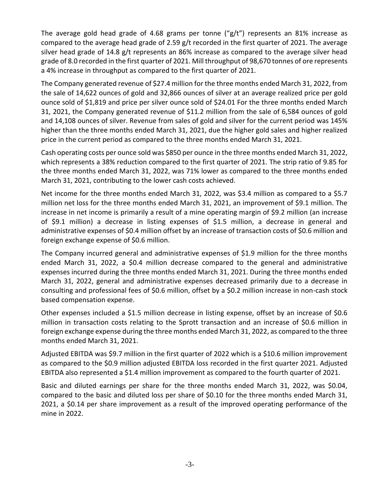The average gold head grade of 4.68 grams per tonne (" $g/t$ ") represents an 81% increase as compared to the average head grade of 2.59 g/t recorded in the first quarter of 2021. The average silver head grade of 14.8 g/t represents an 86% increase as compared to the average silver head grade of 8.0 recorded in the first quarter of 2021. Mill throughput of 98,670 tonnes of ore represents a 4% increase in throughput as compared to the first quarter of 2021.

The Company generated revenue of \$27.4 million for the three months ended March 31, 2022, from the sale of 14,622 ounces of gold and 32,866 ounces of silver at an average realized price per gold ounce sold of \$1,819 and price per silver ounce sold of \$24.01 For the three months ended March 31, 2021, the Company generated revenue of \$11.2 million from the sale of 6,584 ounces of gold and 14,108 ounces of silver. Revenue from sales of gold and silver for the current period was 145% higher than the three months ended March 31, 2021, due the higher gold sales and higher realized price in the current period as compared to the three months ended March 31, 2021.

Cash operating costs per ounce sold was \$850 per ounce in the three months ended March 31, 2022, which represents a 38% reduction compared to the first quarter of 2021. The strip ratio of 9.85 for the three months ended March 31, 2022, was 71% lower as compared to the three months ended March 31, 2021, contributing to the lower cash costs achieved.

Net income for the three months ended March 31, 2022, was \$3.4 million as compared to a \$5.7 million net loss for the three months ended March 31, 2021, an improvement of \$9.1 million. The increase in net income is primarily a result of a mine operating margin of \$9.2 million (an increase of \$9.1 million) a decrease in listing expenses of \$1.5 million, a decrease in general and administrative expenses of \$0.4 million offset by an increase of transaction costs of \$0.6 million and foreign exchange expense of \$0.6 million.

The Company incurred general and administrative expenses of \$1.9 million for the three months ended March 31, 2022, a \$0.4 million decrease compared to the general and administrative expenses incurred during the three months ended March 31, 2021. During the three months ended March 31, 2022, general and administrative expenses decreased primarily due to a decrease in consulting and professional fees of \$0.6 million, offset by a \$0.2 million increase in non-cash stock based compensation expense.

Other expenses included a \$1.5 million decrease in listing expense, offset by an increase of \$0.6 million in transaction costs relating to the Sprott transaction and an increase of \$0.6 million in foreign exchange expense during the three months ended March 31, 2022, as compared to the three months ended March 31, 2021.

Adjusted EBITDA was \$9.7 million in the first quarter of 2022 which is a \$10.6 million improvement as compared to the \$0.9 million adjusted EBITDA loss recorded in the first quarter 2021. Adjusted EBITDA also represented a \$1.4 million improvement as compared to the fourth quarter of 2021.

Basic and diluted earnings per share for the three months ended March 31, 2022, was \$0.04, compared to the basic and diluted loss per share of \$0.10 for the three months ended March 31, 2021, a \$0.14 per share improvement as a result of the improved operating performance of the mine in 2022.